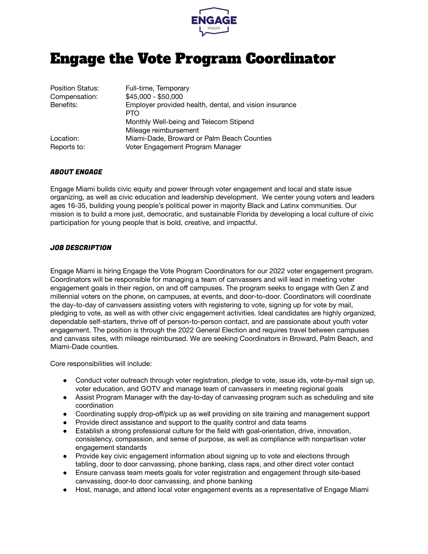

## Engage the Vote Program Coordinator

| Position Status:         | Full-time, Temporary                                                           |
|--------------------------|--------------------------------------------------------------------------------|
| Compensation:            | \$45,000 - \$50,000                                                            |
| Benefits:                | Employer provided health, dental, and vision insurance<br><b>PTO</b>           |
|                          | Monthly Well-being and Telecom Stipend                                         |
|                          | Mileage reimbursement                                                          |
| Location:<br>Reports to: | Miami-Dade, Broward or Palm Beach Counties<br>Voter Engagement Program Manager |
|                          |                                                                                |

## ABOUT ENGAGE

Engage Miami builds civic equity and power through voter engagement and local and state issue organizing, as well as civic education and leadership development. We center young voters and leaders ages 16-35, building young people's political power in majority Black and Latinx communities. Our mission is to build a more just, democratic, and sustainable Florida by developing a local culture of civic participation for young people that is bold, creative, and impactful.

## JOB DESCRIPTION

Engage Miami is hiring Engage the Vote Program Coordinators for our 2022 voter engagement program. Coordinators will be responsible for managing a team of canvassers and will lead in meeting voter engagement goals in their region, on and off campuses. The program seeks to engage with Gen Z and millennial voters on the phone, on campuses, at events, and door-to-door. Coordinators will coordinate the day-to-day of canvassers assisting voters with registering to vote, signing up for vote by mail, pledging to vote, as well as with other civic engagement activities. Ideal candidates are highly organized, dependable self-starters, thrive off of person-to-person contact, and are passionate about youth voter engagement. The position is through the 2022 General Election and requires travel between campuses and canvass sites, with mileage reimbursed. We are seeking Coordinators in Broward, Palm Beach, and Miami-Dade counties.

Core responsibilities will include:

- Conduct voter outreach through voter registration, pledge to vote, issue ids, vote-by-mail sign up, voter education, and GOTV and manage team of canvassers in meeting regional goals
- Assist Program Manager with the day-to-day of canvassing program such as scheduling and site coordination
- Coordinating supply drop-off/pick up as well providing on site training and management support
- Provide direct assistance and support to the quality control and data teams
- Establish a strong professional culture for the field with goal-orientation, drive, innovation, consistency, compassion, and sense of purpose, as well as compliance with nonpartisan voter engagement standards
- Provide key civic engagement information about signing up to vote and elections through tabling, door to door canvassing, phone banking, class raps, and other direct voter contact
- Ensure canvass team meets goals for voter registration and engagement through site-based canvassing, door-to door canvassing, and phone banking
- Host, manage, and attend local voter engagement events as a representative of Engage Miami